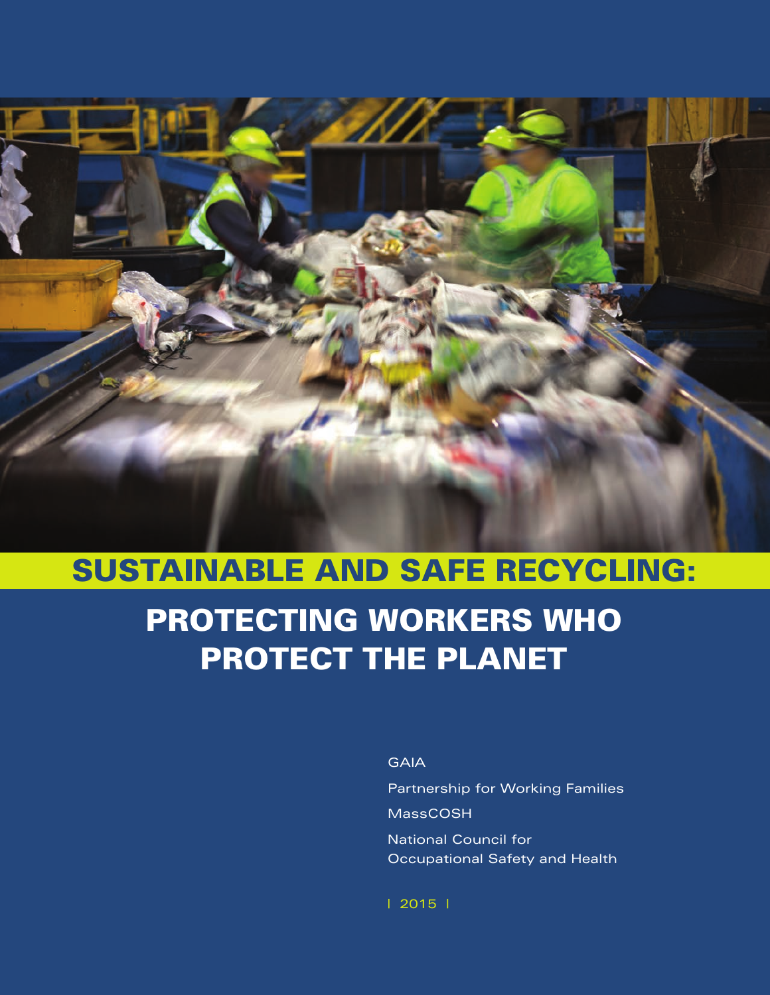

# **PROTECTING WORKERS WHO PROTECT THE PLANET SUSTAINABLE AND SAFE RECYCLING:**

**GAIA** 

Partnership for Working Families MassCOSH National Council for Occupational Safety and Health

| 2015 |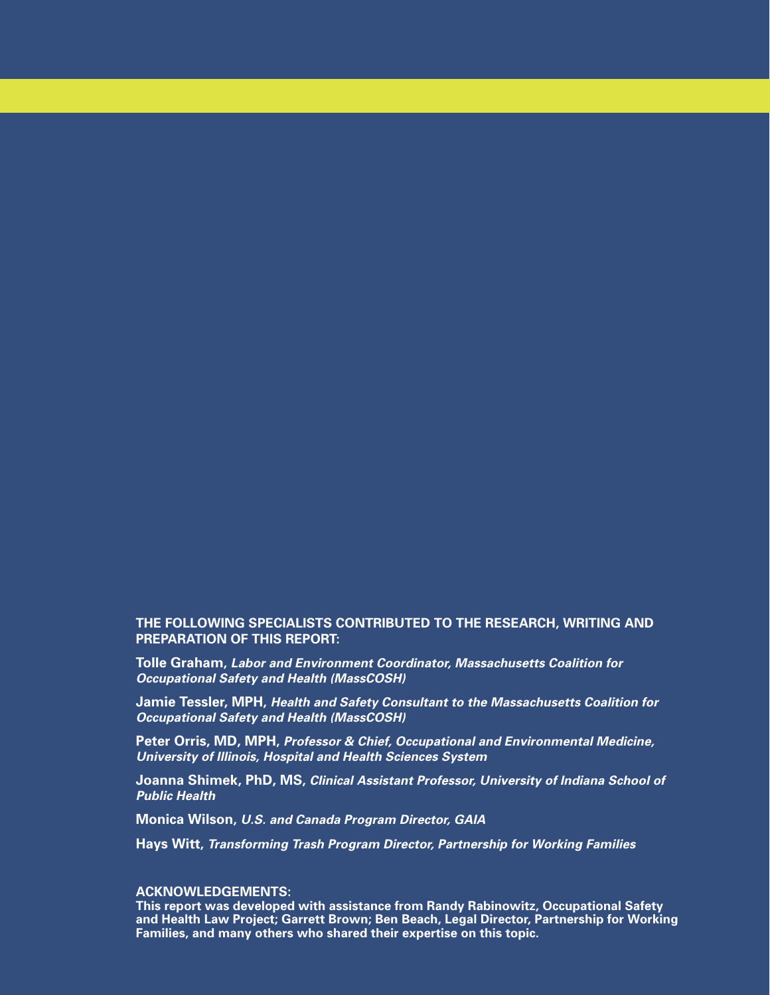## **THE FOLLOWING SPECIALISTS CONTRIBUTED TO THE RESEARCH, WRITING AND PREPARATION OF THIS REPORT:**

**Tolle Graham,** *Labor and Environment Coordinator, Massachusetts Coalition for Occupational Safety and Health (MassCOSH)*

**Jamie Tessler, MPH,** *Health and Safety Consultant to the Massachusetts Coalition for Occupational Safety and Health (MassCOSH)*

**Peter Orris, MD, MPH,** *Professor & Chief, Occupational and Environmental Medicine, University of Illinois, Hospital and Health Sciences System*

**Joanna Shimek, PhD, MS,** *Clinical Assistant Professor, University of Indiana School of Public Health*

**Monica Wilson,** *U.S. and Canada Program Director, GAIA*

**Hays Witt,** *Transforming Trash Program Director, Partnership for Working Families*

#### **ACKNOWLEDGEMENTS:**

**This report was developed with assistance from Randy Rabinowitz, Occupational Safety and Health Law Project; Garrett Brown; Ben Beach, Legal Director, Partnership for Working Families, and many others who shared their expertise on this topic.**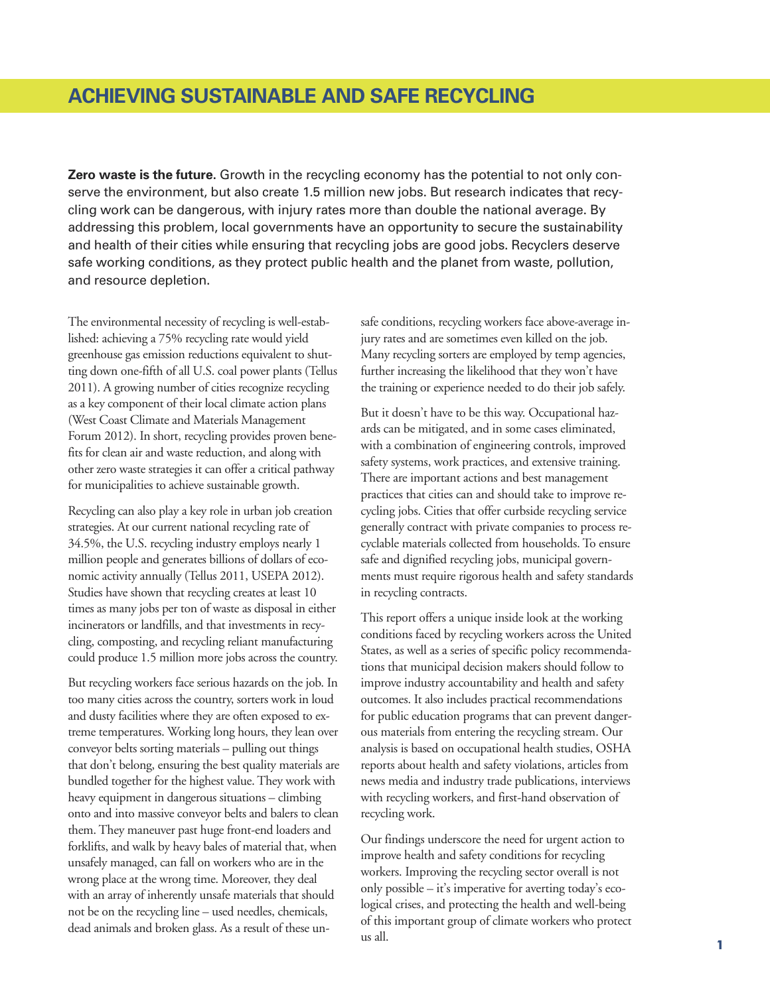# **ACHIEVING SUSTAINABLE AND SAFE RECYCLING**

**Zero waste is the future.** Growth in the recycling economy has the potential to not only conserve the environment, but also create 1.5 million new jobs. But research indicates that recycling work can be dangerous, with injury rates more than double the national average. By addressing this problem, local governments have an opportunity to secure the sustainability and health of their cities while ensuring that recycling jobs are good jobs. Recyclers deserve safe working conditions, as they protect public health and the planet from waste, pollution, and resource depletion.

The environmental necessity of recycling is well-established: achieving a 75% recycling rate would yield greenhouse gas emission reductions equivalent to shutting down one-fifth of all U.S. coal power plants (Tellus 2011). A growing number of cities recognize recycling as a key component of their local climate action plans (West Coast Climate and Materials Management Forum 2012). In short, recycling provides proven benefits for clean air and waste reduction, and along with other zero waste strategies it can offer a critical pathway for municipalities to achieve sustainable growth.

Recycling can also play a key role in urban job creation strategies. At our current national recycling rate of 34.5%, the U.S. recycling industry employs nearly 1 million people and generates billions of dollars of economic activity annually (Tellus 2011, USEPA 2012). Studies have shown that recycling creates at least 10 times as many jobs per ton of waste as disposal in either incinerators or landfills, and that investments in recycling, composting, and recycling reliant manufacturing could produce 1.5 million more jobs across the country.

But recycling workers face serious hazards on the job. In too many cities across the country, sorters work in loud and dusty facilities where they are often exposed to extreme temperatures. Working long hours, they lean over conveyor belts sorting materials – pulling out things that don't belong, ensuring the best quality materials are bundled together for the highest value. They work with heavy equipment in dangerous situations – climbing onto and into massive conveyor belts and balers to clean them. They maneuver past huge front-end loaders and forklifts, and walk by heavy bales of material that, when unsafely managed, can fall on workers who are in the wrong place at the wrong time. Moreover, they deal with an array of inherently unsafe materials that should not be on the recycling line – used needles, chemicals, dead animals and broken glass. As a result of these un-

safe conditions, recycling workers face above-average injury rates and are sometimes even killed on the job. Many recycling sorters are employed by temp agencies, further increasing the likelihood that they won't have the training or experience needed to do their job safely.

But it doesn't have to be this way. Occupational hazards can be mitigated, and in some cases eliminated, with a combination of engineering controls, improved safety systems, work practices, and extensive training. There are important actions and best management practices that cities can and should take to improve recycling jobs. Cities that offer curbside recycling service generally contract with private companies to process recyclable materials collected from households. To ensure safe and dignified recycling jobs, municipal governments must require rigorous health and safety standards in recycling contracts.

This report offers a unique inside look at the working conditions faced by recycling workers across the United States, as well as a series of specific policy recommendations that municipal decision makers should follow to improve industry accountability and health and safety outcomes. It also includes practical recommendations for public education programs that can prevent dangerous materials from entering the recycling stream. Our analysis is based on occupational health studies, OSHA reports about health and safety violations, articles from news media and industry trade publications, interviews with recycling workers, and first-hand observation of recycling work.

Our findings underscore the need for urgent action to improve health and safety conditions for recycling workers. Improving the recycling sector overall is not only possible – it's imperative for averting today's ecological crises, and protecting the health and well-being of this important group of climate workers who protect us all.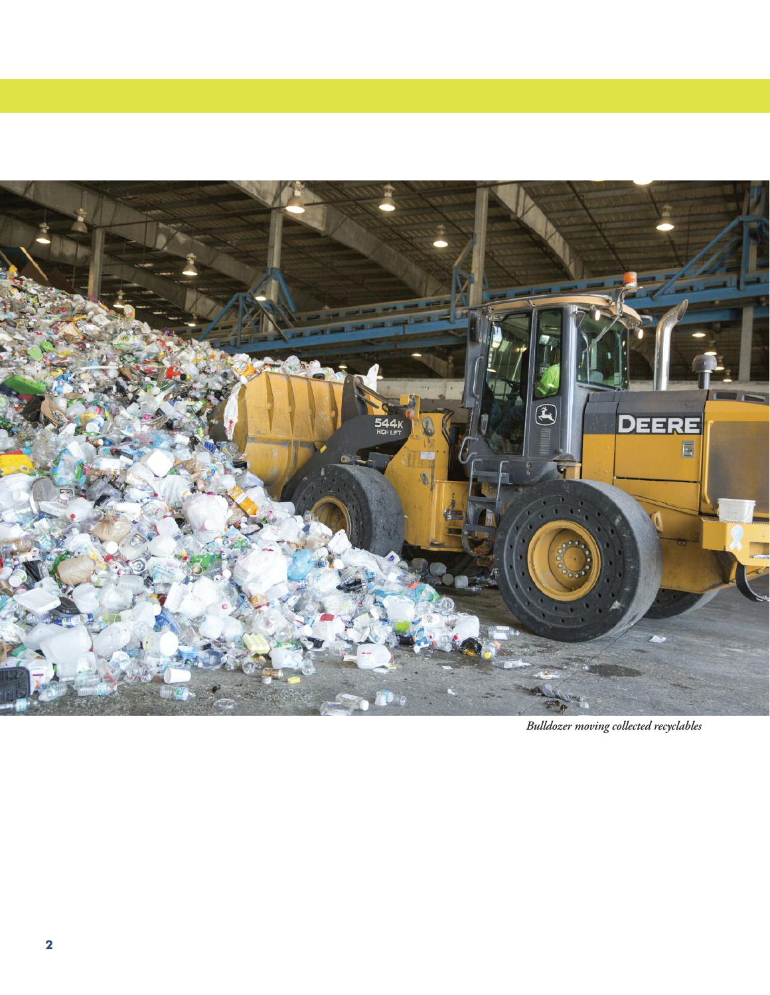

*Bulldozer moving collected recyclables*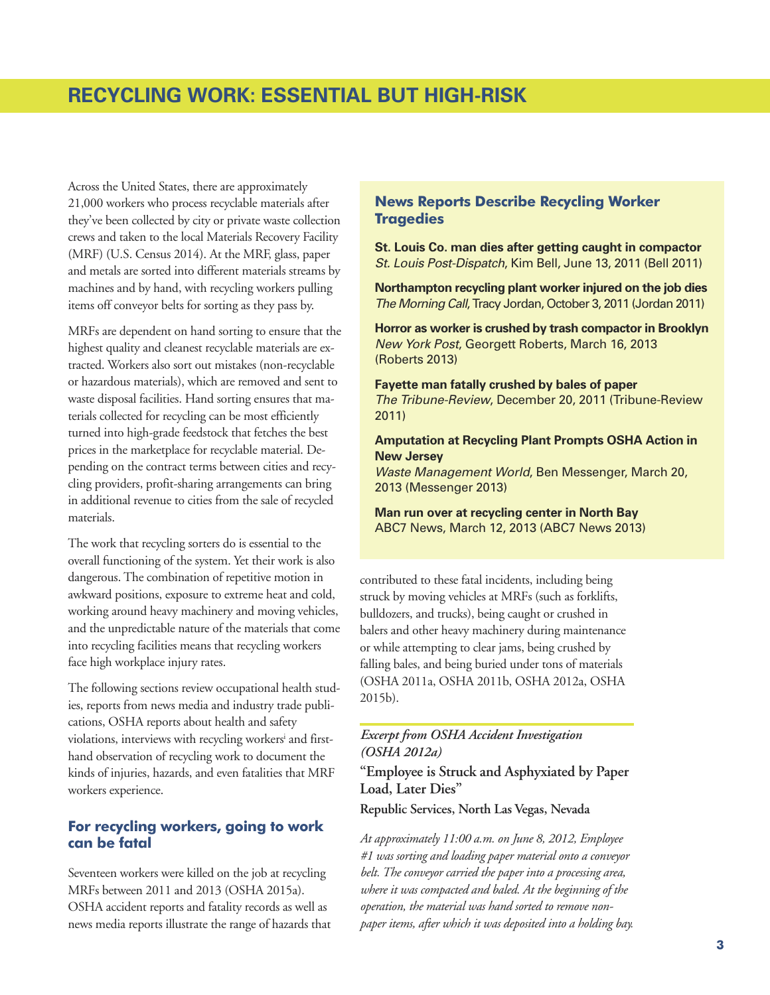# **RECYCLING WORK: ESSENTIAL BUT HIGH-RISK**

Across the United States, there are approximately 21,000 workers who process recyclable materials after they've been collected by city or private waste collection crews and taken to the local Materials Recovery Facility (MRF) (U.S. Census 2014). At the MRF, glass, paper and metals are sorted into different materials streams by machines and by hand, with recycling workers pulling items off conveyor belts for sorting as they pass by.

MRFs are dependent on hand sorting to ensure that the highest quality and cleanest recyclable materials are extracted. Workers also sort out mistakes (non-recyclable or hazardous materials), which are removed and sent to waste disposal facilities. Hand sorting ensures that materials collected for recycling can be most efficiently turned into high-grade feedstock that fetches the best prices in the marketplace for recyclable material. Depending on the contract terms between cities and recycling providers, profit-sharing arrangements can bring in additional revenue to cities from the sale of recycled materials.

The work that recycling sorters do is essential to the overall functioning of the system. Yet their work is also dangerous. The combination of repetitive motion in awkward positions, exposure to extreme heat and cold, working around heavy machinery and moving vehicles, and the unpredictable nature of the materials that come into recycling facilities means that recycling workers face high workplace injury rates.

The following sections review occupational health studies, reports from news media and industry trade publications, OSHA reports about health and safety violations, interviews with recycling workers <sup>i</sup> and firsthand observation of recycling work to document the kinds of injuries, hazards, and even fatalities that MRF workers experience.

# **For recycling workers, going to work can be fatal**

Seventeen workers were killed on the job at recycling MRFs between 2011 and 2013 (OSHA 2015a). OSHA accident reports and fatality records as well as news media reports illustrate the range of hazards that

## **News Reports Describe Recycling Worker Tragedies**

**St. Louis Co. man dies after getting caught in compactor** *St. Louis Post-Dispatch*, Kim Bell, June 13, 2011 (Bell 2011)

**Northampton recycling plant worker injured on the job dies** *The Morning Call*, Tracy Jordan, October 3, 2011 (Jordan 2011)

**Horror as worker is crushed by trash compactor in Brooklyn** *New York Post*, Georgett Roberts, March 16, 2013 (Roberts 2013)

**Fayette man fatally crushed by bales of paper** *The Tribune-Review*, December 20, 2011 (Tribune-Review 2011)

**Amputation at Recycling Plant Prompts OSHA Action in New Jersey**

*Waste Management World*, Ben Messenger, March 20, 2013 (Messenger 2013)

**Man run over at recycling center in North Bay** ABC7 News, March 12, 2013 (ABC7 News 2013)

contributed to these fatal incidents, including being struck by moving vehicles at MRFs (such as forklifts, bulldozers, and trucks), being caught or crushed in balers and other heavy machinery during maintenance or while attempting to clear jams, being crushed by falling bales, and being buried under tons of materials (OSHA 2011a, OSHA 2011b, OSHA 2012a, OSHA 2015b).

## *Excerpt from OSHA Accident Investigation (OSHA 2012a)*

**"Employee is Struck and Asphyxiated by Paper Load, Later Dies"**

**Republic Services, North Las Vegas, Nevada**

*At approximately 11:00 a.m. on June 8, 2012, Employee #1 was sorting and loading paper material onto a conveyor belt. The conveyor carried the paper into a processing area, where it was compacted and baled. At the beginning of the operation, the material was hand sorted to remove nonpaper items, after which it was deposited into a holding bay.*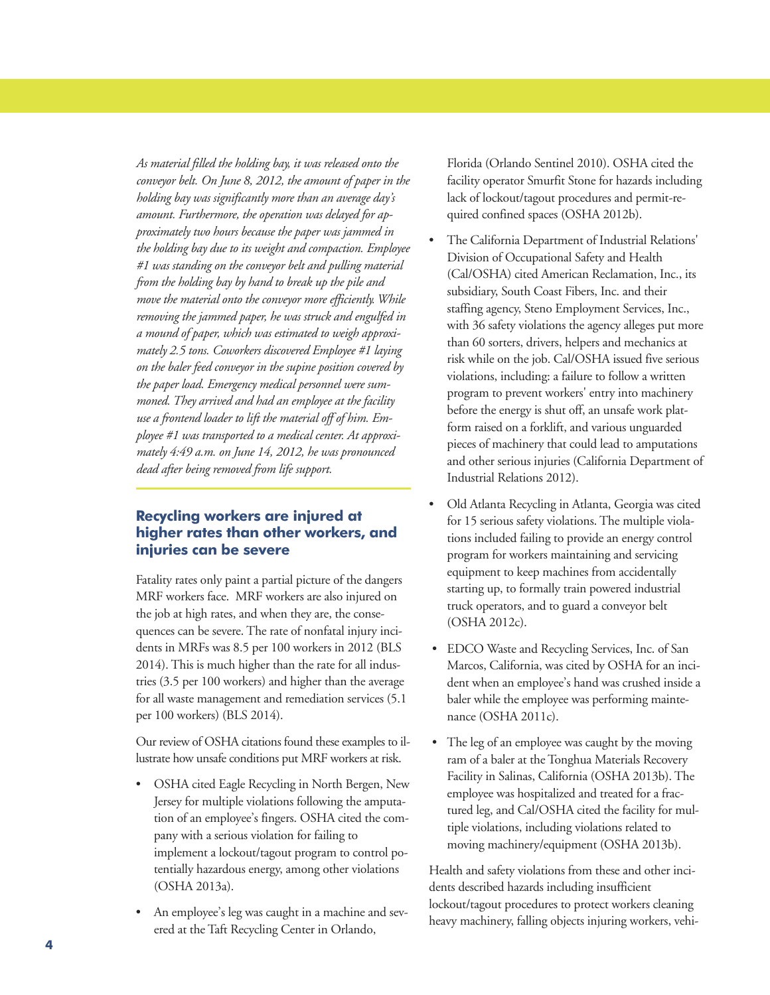*As material filled the holding bay, it was released onto the conveyor belt. On June 8, 2012, the amount of paper in the holding bay was significantly more than an average day's amount. Furthermore, the operation was delayed for approximately two hours because the paper was jammed in the holding bay due to its weight and compaction. Employee #1 was standing on the conveyor belt and pulling material from the holding bay by hand to break up the pile and move the material onto the conveyor more efficiently. While removing the jammed paper, he was struck and engulfed in a mound of paper, which was estimated to weigh approximately 2.5 tons. Coworkers discovered Employee #1 laying on the baler feed conveyor in the supine position covered by the paper load. Emergency medical personnel were summoned. They arrived and had an employee at the facility use a frontend loader to lift the material off of him. Employee #1 was transported to a medical center. At approximately 4:49 a.m. on June 14, 2012, he was pronounced dead after being removed from life support.*

# **Recycling workers are injured at higher rates than other workers, and injuries can be severe**

Fatality rates only paint a partial picture of the dangers MRF workers face. MRF workers are also injured on the job at high rates, and when they are, the consequences can be severe. The rate of nonfatal injury incidents in MRFs was 8.5 per 100 workers in 2012 (BLS 2014). This is much higher than the rate for all industries (3.5 per 100 workers) and higher than the average for all waste management and remediation services (5.1 per 100 workers) (BLS 2014).

Our review of OSHA citations found these examples to illustrate how unsafe conditions put MRF workers at risk.

- OSHA cited Eagle Recycling in North Bergen, New Jersey for multiple violations following the amputation of an employee's fingers. OSHA cited the company with a serious violation for failing to implement a lockout/tagout program to control potentially hazardous energy, among other violations (OSHA 2013a).
- An employee's leg was caught in a machine and severed at the Taft Recycling Center in Orlando,

Florida (Orlando Sentinel 2010). OSHA cited the facility operator Smurfit Stone for hazards including lack of lockout/tagout procedures and permit-required confined spaces (OSHA 2012b).

- The California Department of Industrial Relations' Division of Occupational Safety and Health (Cal/OSHA) cited American Reclamation, Inc., its subsidiary, South Coast Fibers, Inc. and their staffing agency, Steno Employment Services, Inc., with 36 safety violations the agency alleges put more than 60 sorters, drivers, helpers and mechanics at risk while on the job. Cal/OSHA issued five serious violations, including: a failure to follow a written program to prevent workers' entry into machinery before the energy is shut off, an unsafe work platform raised on a forklift, and various unguarded pieces of machinery that could lead to amputations and other serious injuries (California Department of Industrial Relations 2012).
- Old Atlanta Recycling in Atlanta, Georgia was cited for 15 serious safety violations. The multiple violations included failing to provide an energy control program for workers maintaining and servicing equipment to keep machines from accidentally starting up, to formally train powered industrial truck operators, and to guard a conveyor belt (OSHA 2012c).
- EDCO Waste and Recycling Services, Inc. of San Marcos, California, was cited by OSHA for an incident when an employee's hand was crushed inside a baler while the employee was performing maintenance (OSHA 2011c).
- The leg of an employee was caught by the moving ram of a baler at the Tonghua Materials Recovery Facility in Salinas, California (OSHA 2013b). The employee was hospitalized and treated for a fractured leg, and Cal/OSHA cited the facility for multiple violations, including violations related to moving machinery/equipment (OSHA 2013b).

Health and safety violations from these and other incidents described hazards including insufficient lockout/tagout procedures to protect workers cleaning heavy machinery, falling objects injuring workers, vehi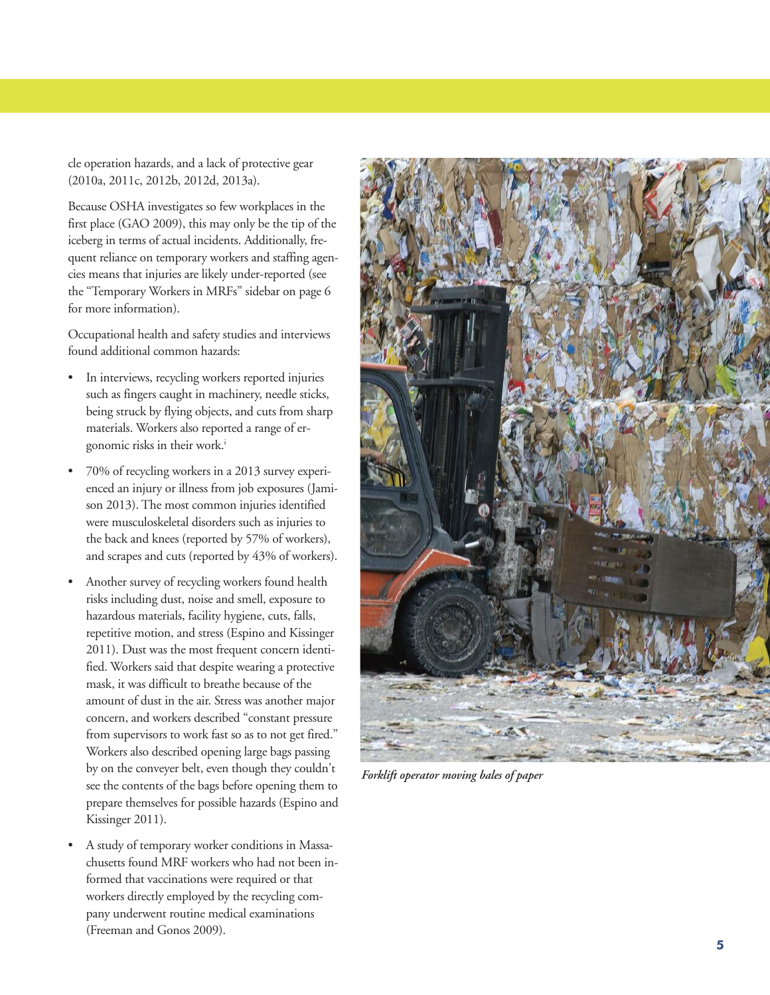cle operation hazards, and a lack of protective gear (2010a, 2011c, 2012b, 2012d, 2013a).

Because OSHA investigates so few workplaces in the first place (GAO 2009), this may only be the tip of the iceberg in terms of actual incidents. Additionally, frequent reliance on temporary workers and staffing agencies means that injuries are likely under-reported (see the "Temporary Workers in MRFs" sidebar on page 6 for more information).

Occupational health and safety studies and interviews found additional common hazards:

- In interviews, recycling workers reported injuries such as fingers caught in machinery, needle sticks, being struck by flying objects, and cuts from sharp materials. Workers also reported a range of ergonomic risks in their work.<sup>i</sup>
- 70% of recycling workers in a 2013 survey experienced an injury or illness from job exposures (Jamison 2013). The most common injuries identified were musculoskeletal disorders such as injuries to the back and knees (reported by 57% of workers), and scrapes and cuts (reported by 43% of workers).
- Another survey of recycling workers found health risks including dust, noise and smell, exposure to hazardous materials, facility hygiene, cuts, falls, repetitive motion, and stress (Espino and Kissinger 2011). Dust was the most frequent concern identified. Workers said that despite wearing a protective mask, it was difficult to breathe because of the amount of dust in the air. Stress was another major concern, and workers described "constant pressure from supervisors to work fast so as to not get fired." Workers also described opening large bags passing by on the conveyer belt, even though they couldn't see the contents of the bags before opening them to prepare themselves for possible hazards (Espino and Kissinger 2011).
- A study of temporary worker conditions in Massachusetts found MRF workers who had not been informed that vaccinations were required or that workers directly employed by the recycling company underwent routine medical examinations (Freeman and Gonos 2009).



*Forklift* operator moving bales of paper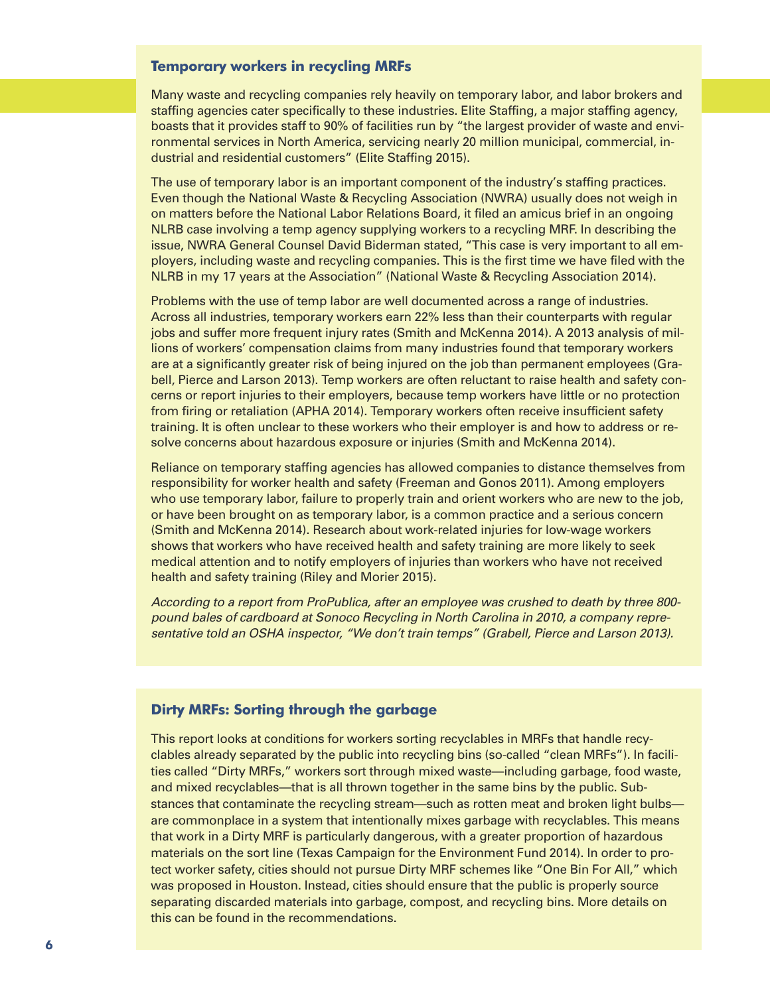### **Temporary workers in recycling MRFs**

Many waste and recycling companies rely heavily on temporary labor, and labor brokers and staffing agencies cater specifically to these industries. Elite Staffing, a major staffing agency, boasts that it provides staff to 90% of facilities run by "the largest provider of waste and environmental services in North America, servicing nearly 20 million municipal, commercial, industrial and residential customers" (Elite Staffing 2015).

The use of temporary labor is an important component of the industry's staffing practices. Even though the National Waste & Recycling Association (NWRA) usually does not weigh in on matters before the National Labor Relations Board, it filed an amicus brief in an ongoing NLRB case involving a temp agency supplying workers to a recycling MRF. In describing the issue, NWRA General Counsel David Biderman stated, "This case is very important to all employers, including waste and recycling companies. This is the first time we have filed with the NLRB in my 17 years at the Association" (National Waste & Recycling Association 2014).

Problems with the use of temp labor are well documented across a range of industries. Across all industries, temporary workers earn 22% less than their counterparts with regular jobs and suffer more frequent injury rates (Smith and McKenna 2014). A 2013 analysis of millions of workers' compensation claims from many industries found that temporary workers are at a significantly greater risk of being injured on the job than permanent employees (Grabell, Pierce and Larson 2013). Temp workers are often reluctant to raise health and safety concerns or report injuries to their employers, because temp workers have little or no protection from firing or retaliation (APHA 2014). Temporary workers often receive insufficient safety training. It is often unclear to these workers who their employer is and how to address or resolve concerns about hazardous exposure or injuries (Smith and McKenna 2014).

Reliance on temporary staffing agencies has allowed companies to distance themselves from responsibility for worker health and safety (Freeman and Gonos 2011). Among employers who use temporary labor, failure to properly train and orient workers who are new to the job, or have been brought on as temporary labor, is a common practice and a serious concern (Smith and McKenna 2014). Research about work-related injuries for low-wage workers shows that workers who have received health and safety training are more likely to seek medical attention and to notify employers of injuries than workers who have not received health and safety training (Riley and Morier 2015).

*According to a report from ProPublica, after an employee was crushed to death by three 800 pound bales of cardboard at Sonoco Recycling in North Carolina in 2010, a company representative told an OSHA inspector, "We don't train temps" (Grabell, Pierce and Larson 2013).*

## **Dirty MRFs: Sorting through the garbage**

This report looks at conditions for workers sorting recyclables in MRFs that handle recyclables already separated by the public into recycling bins (so-called "clean MRFs"). In facilities called "Dirty MRFs," workers sort through mixed waste—including garbage, food waste, and mixed recyclables—that is all thrown together in the same bins by the public. Substances that contaminate the recycling stream—such as rotten meat and broken light bulbs are commonplace in a system that intentionally mixes garbage with recyclables. This means that work in a Dirty MRF is particularly dangerous, with a greater proportion of hazardous materials on the sort line (Texas Campaign for the Environment Fund 2014). In order to protect worker safety, cities should not pursue Dirty MRF schemes like "One Bin For All," which was proposed in Houston. Instead, cities should ensure that the public is properly source separating discarded materials into garbage, compost, and recycling bins. More details on this can be found in the recommendations.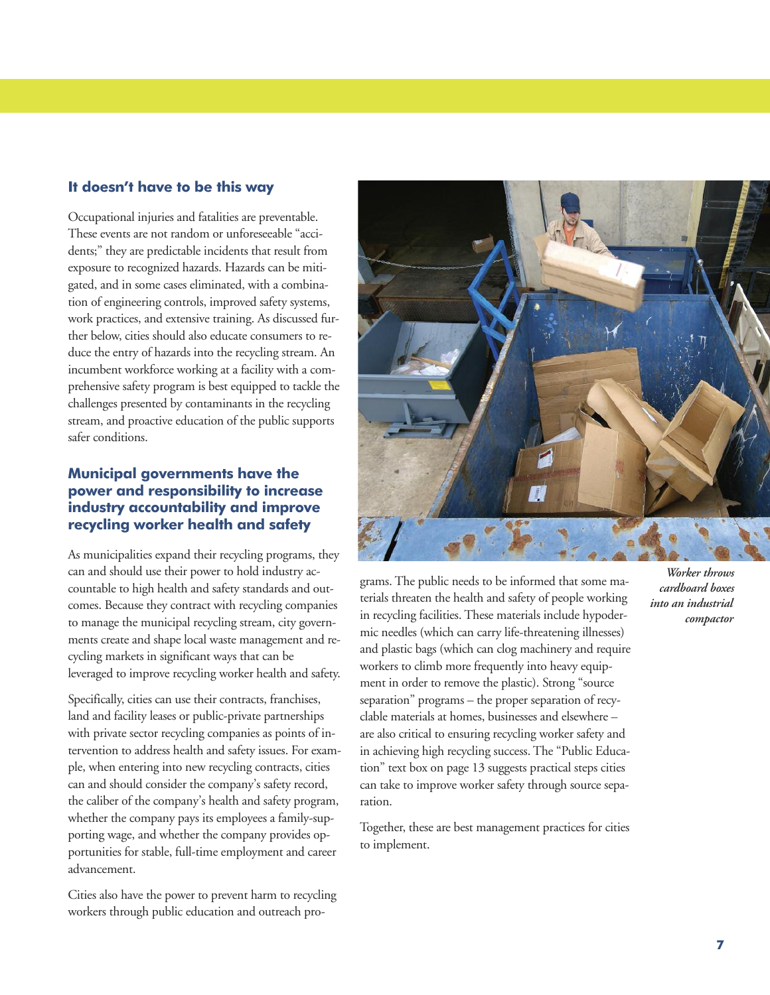# **It doesn't have to be this way**

Occupational injuries and fatalities are preventable. These events are not random or unforeseeable "accidents;" they are predictable incidents that result from exposure to recognized hazards. Hazards can be mitigated, and in some cases eliminated, with a combination of engineering controls, improved safety systems, work practices, and extensive training. As discussed further below, cities should also educate consumers to reduce the entry of hazards into the recycling stream. An incumbent workforce working at a facility with a comprehensive safety program is best equipped to tackle the challenges presented by contaminants in the recycling stream, and proactive education of the public supports safer conditions.

# **Municipal governments have the power and responsibility to increase industry accountability and improve recycling worker health and safety**

As municipalities expand their recycling programs, they can and should use their power to hold industry accountable to high health and safety standards and outcomes. Because they contract with recycling companies to manage the municipal recycling stream, city governments create and shape local waste management and recycling markets in significant ways that can be leveraged to improve recycling worker health and safety.

Specifically, cities can use their contracts, franchises, land and facility leases or public-private partnerships with private sector recycling companies as points of intervention to address health and safety issues. For example, when entering into new recycling contracts, cities can and should consider the company's safety record, the caliber of the company's health and safety program, whether the company pays its employees a family-supporting wage, and whether the company provides opportunities for stable, full-time employment and career advancement.

Cities also have the power to prevent harm to recycling workers through public education and outreach pro-



grams. The public needs to be informed that some materials threaten the health and safety of people working in recycling facilities. These materials include hypodermic needles (which can carry life-threatening illnesses) and plastic bags (which can clog machinery and require workers to climb more frequently into heavy equipment in order to remove the plastic). Strong "source separation" programs – the proper separation of recyclable materials at homes, businesses and elsewhere – are also critical to ensuring recycling worker safety and in achieving high recycling success. The "Public Education" text box on page 13 suggests practical steps cities can take to improve worker safety through source separation.

Together, these are best management practices for cities to implement.

*Worker throws cardboard boxes into an industrial compactor*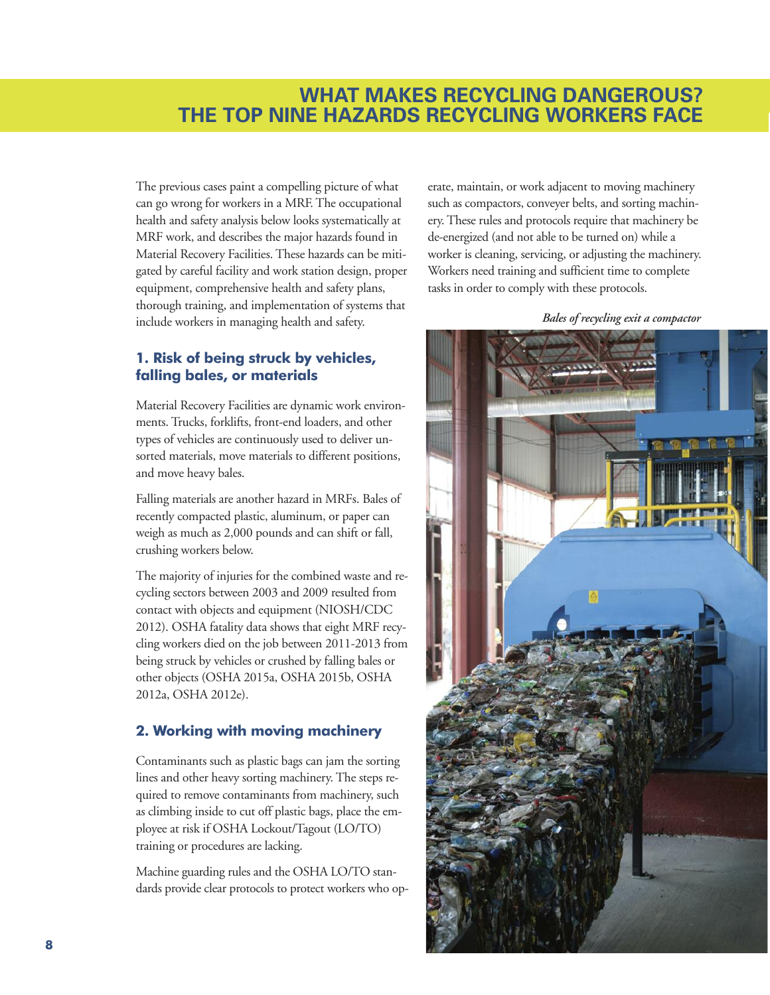# **WHAT MAKES RECYCLING DANGEROUS? THE TOP NINE HAZARDS RECYCLING WORKERS FACE**

The previous cases paint a compelling picture of what can go wrong for workers in a MRF. The occupational health and safety analysis below looks systematically at MRF work, and describes the major hazards found in Material Recovery Facilities. These hazards can be mitigated by careful facility and work station design, proper equipment, comprehensive health and safety plans, thorough training, and implementation of systems that include workers in managing health and safety.

# **1. Risk of being struck by vehicles, falling bales, or materials**

Material Recovery Facilities are dynamic work environments. Trucks, forklifts, front-end loaders, and other types of vehicles are continuously used to deliver unsorted materials, move materials to different positions, and move heavy bales.

Falling materials are another hazard in MRFs. Bales of recently compacted plastic, aluminum, or paper can weigh as much as 2,000 pounds and can shift or fall, crushing workers below.

The majority of injuries for the combined waste and recycling sectors between 2003 and 2009 resulted from contact with objects and equipment (NIOSH/CDC 2012). OSHA fatality data shows that eight MRF recycling workers died on the job between 2011-2013 from being struck by vehicles or crushed by falling bales or other objects (OSHA 2015a, OSHA 2015b, OSHA 2012a, OSHA 2012e).

# **2. Working with moving machinery**

Contaminants such as plastic bags can jam the sorting lines and other heavy sorting machinery. The steps required to remove contaminants from machinery, such as climbing inside to cut off plastic bags, place the employee at risk if OSHA Lockout/Tagout (LO/TO) training or procedures are lacking.

Machine guarding rules and the OSHA LO/TO standards provide clear protocols to protect workers who operate, maintain, or work adjacent to moving machinery such as compactors, conveyer belts, and sorting machinery. These rules and protocols require that machinery be de-energized (and not able to be turned on) while a worker is cleaning, servicing, or adjusting the machinery. Workers need training and sufficient time to complete tasks in order to comply with these protocols.

*Bales of recycling exit a compactor*

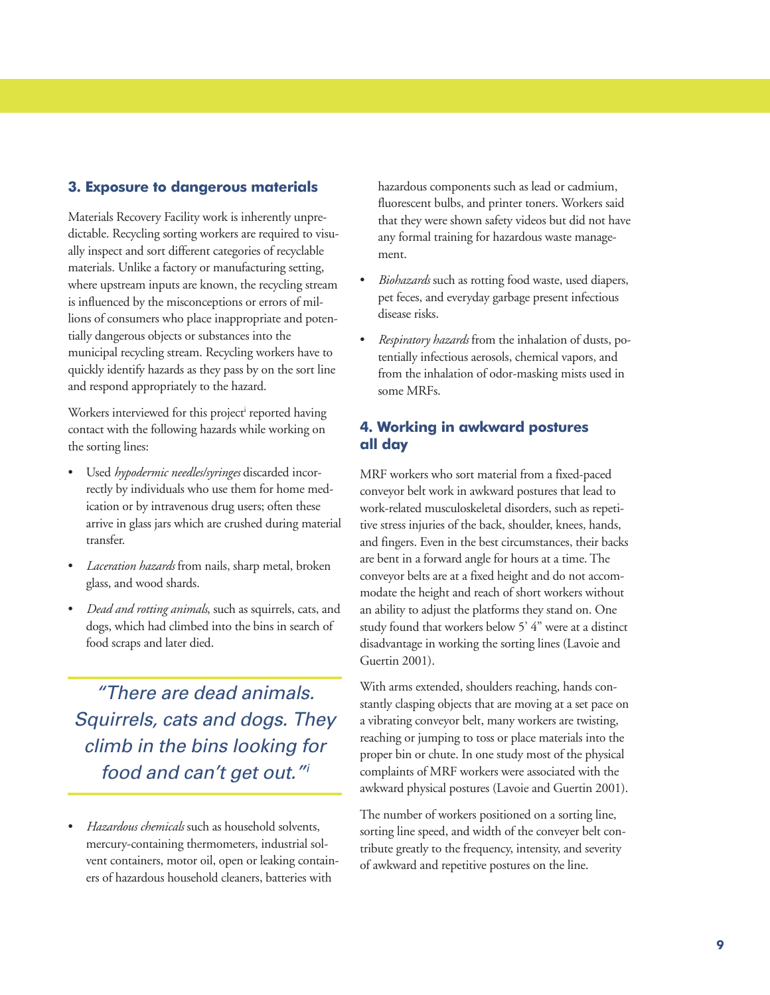## **3. Exposure to dangerous materials**

Materials Recovery Facility work is inherently unpredictable. Recycling sorting workers are required to visually inspect and sort different categories of recyclable materials. Unlike a factory or manufacturing setting, where upstream inputs are known, the recycling stream is influenced by the misconceptions or errors of millions of consumers who place inappropriate and potentially dangerous objects or substances into the municipal recycling stream. Recycling workers have to quickly identify hazards as they pass by on the sort line and respond appropriately to the hazard.

Workers interviewed for this project<sup>i</sup> reported having contact with the following hazards while working on the sorting lines:

- Used *hypodermic needles/syringes* discarded incorrectly by individuals who use them for home medication or by intravenous drug users; often these arrive in glass jars which are crushed during material transfer.
- *Laceration hazards* from nails, sharp metal, broken glass, and wood shards.
- *Dead and rotting animals*, such as squirrels, cats, and dogs, which had climbed into the bins in search of food scraps and later died.

*"There are dead animals. Squirrels, cats and dogs. They climb in the bins looking for food and can't get out."i*

• *Hazardous chemicals* such as household solvents, mercury-containing thermometers, industrial solvent containers, motor oil, open or leaking containers of hazardous household cleaners, batteries with

hazardous components such as lead or cadmium, fluorescent bulbs, and printer toners. Workers said that they were shown safety videos but did not have any formal training for hazardous waste management.

- *Biohazards* such as rotting food waste, used diapers, pet feces, and everyday garbage present infectious disease risks.
- *Respiratory hazards* from the inhalation of dusts, potentially infectious aerosols, chemical vapors, and from the inhalation of odor-masking mists used in some MRFs.

# **4. Working in awkward postures all day**

MRF workers who sort material from a fixed-paced conveyor belt work in awkward postures that lead to work-related musculoskeletal disorders, such as repetitive stress injuries of the back, shoulder, knees, hands, and fingers. Even in the best circumstances, their backs are bent in a forward angle for hours at a time. The conveyor belts are at a fixed height and do not accommodate the height and reach of short workers without an ability to adjust the platforms they stand on. One study found that workers below 5' 4" were at a distinct disadvantage in working the sorting lines (Lavoie and Guertin 2001).

With arms extended, shoulders reaching, hands constantly clasping objects that are moving at a set pace on a vibrating conveyor belt, many workers are twisting, reaching or jumping to toss or place materials into the proper bin or chute. In one study most of the physical complaints of MRF workers were associated with the awkward physical postures (Lavoie and Guertin 2001).

The number of workers positioned on a sorting line, sorting line speed, and width of the conveyer belt contribute greatly to the frequency, intensity, and severity of awkward and repetitive postures on the line.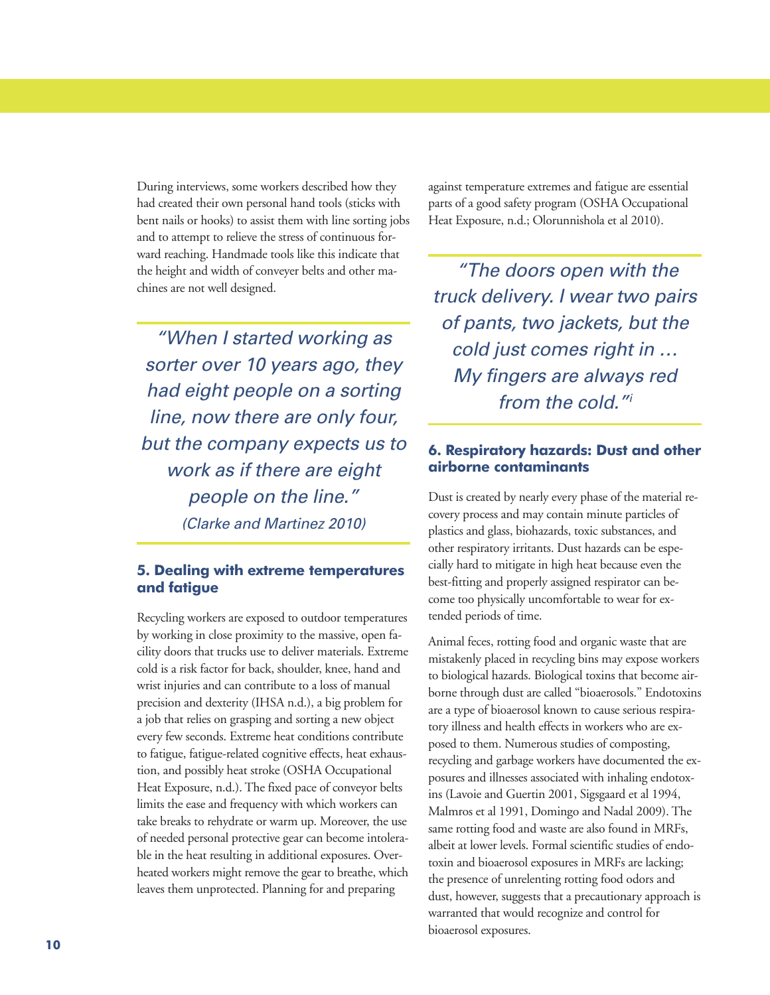During interviews, some workers described how they had created their own personal hand tools (sticks with bent nails or hooks) to assist them with line sorting jobs and to attempt to relieve the stress of continuous forward reaching. Handmade tools like this indicate that the height and width of conveyer belts and other machines are not well designed.

*"When I started working as sorter over 10 years ago, they had eight people on a sorting line, now there are only four, but the company expects us to work as if there are eight people on the line." (Clarke and Martinez 2010)*

## **5. Dealing with extreme temperatures and fatigue**

Recycling workers are exposed to outdoor temperatures by working in close proximity to the massive, open facility doors that trucks use to deliver materials. Extreme cold is a risk factor for back, shoulder, knee, hand and wrist injuries and can contribute to a loss of manual precision and dexterity (IHSA n.d.), a big problem for a job that relies on grasping and sorting a new object every few seconds. Extreme heat conditions contribute to fatigue, fatigue-related cognitive effects, heat exhaustion, and possibly heat stroke (OSHA Occupational Heat Exposure, n.d.). The fixed pace of conveyor belts limits the ease and frequency with which workers can take breaks to rehydrate or warm up. Moreover, the use of needed personal protective gear can become intolerable in the heat resulting in additional exposures. Overheated workers might remove the gear to breathe, which leaves them unprotected. Planning for and preparing

against temperature extremes and fatigue are essential parts of a good safety program (OSHA Occupational Heat Exposure, n.d.; Olorunnishola et al 2010).

*"The doors open with the truck delivery. I wear two pairs of pants, two jackets, but the cold just comes right in … My fingers are always red from the cold."i*

# **6. Respiratory hazards: Dust and other airborne contaminants**

Dust is created by nearly every phase of the material recovery process and may contain minute particles of plastics and glass, biohazards, toxic substances, and other respiratory irritants. Dust hazards can be especially hard to mitigate in high heat because even the best-fitting and properly assigned respirator can become too physically uncomfortable to wear for extended periods of time.

Animal feces, rotting food and organic waste that are mistakenly placed in recycling bins may expose workers to biological hazards. Biological toxins that become airborne through dust are called "bioaerosols." Endotoxins are a type of bioaerosol known to cause serious respiratory illness and health effects in workers who are exposed to them. Numerous studies of composting, recycling and garbage workers have documented the exposures and illnesses associated with inhaling endotoxins (Lavoie and Guertin 2001, Sigsgaard et al 1994, Malmros et al 1991, Domingo and Nadal 2009). The same rotting food and waste are also found in MRFs, albeit at lower levels. Formal scientific studies of endotoxin and bioaerosol exposures in MRFs are lacking; the presence of unrelenting rotting food odors and dust, however, suggests that a precautionary approach is warranted that would recognize and control for bioaerosol exposures.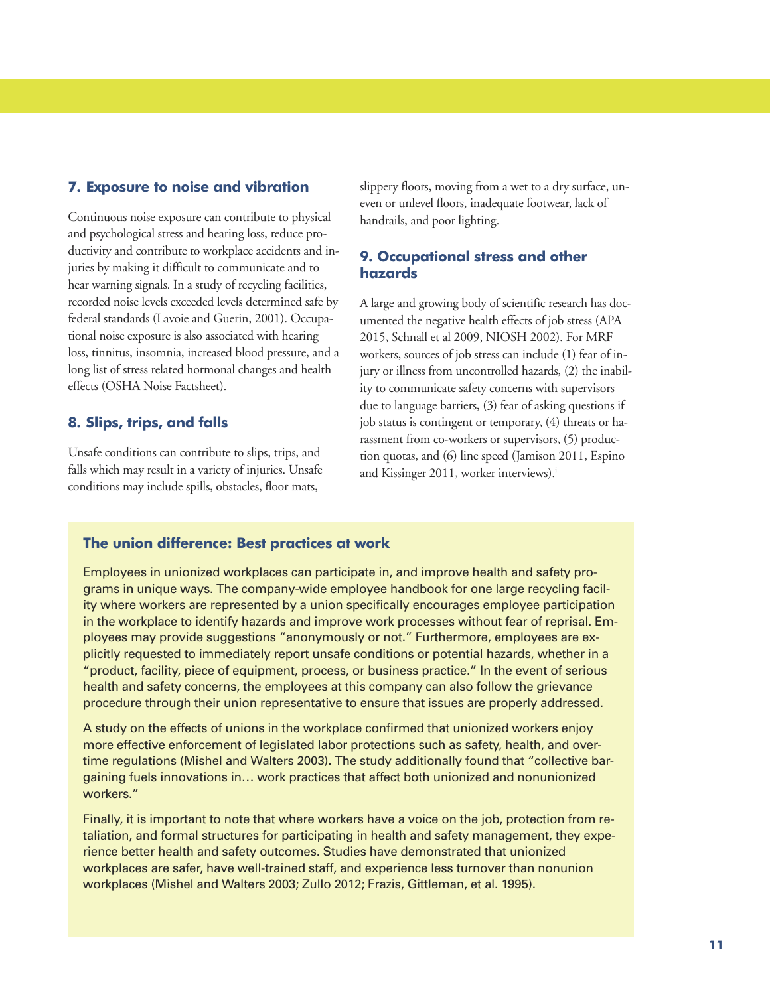## **7. Exposure to noise and vibration**

Continuous noise exposure can contribute to physical and psychological stress and hearing loss, reduce productivity and contribute to workplace accidents and injuries by making it difficult to communicate and to hear warning signals. In a study of recycling facilities, recorded noise levels exceeded levels determined safe by federal standards (Lavoie and Guerin, 2001). Occupational noise exposure is also associated with hearing loss, tinnitus, insomnia, increased blood pressure, and a long list of stress related hormonal changes and health effects (OSHA Noise Factsheet).

## **8. Slips, trips, and falls**

Unsafe conditions can contribute to slips, trips, and falls which may result in a variety of injuries. Unsafe conditions may include spills, obstacles, floor mats,

slippery floors, moving from a wet to a dry surface, uneven or unlevel floors, inadequate footwear, lack of handrails, and poor lighting.

# **9. Occupational stress and other hazards**

A large and growing body of scientific research has documented the negative health effects of job stress (APA 2015, Schnall et al 2009, NIOSH 2002). For MRF workers, sources of job stress can include (1) fear of injury or illness from uncontrolled hazards, (2) the inability to communicate safety concerns with supervisors due to language barriers, (3) fear of asking questions if job status is contingent or temporary, (4) threats or harassment from co-workers or supervisors, (5) production quotas, and (6) line speed (Jamison 2011, Espino and Kissinger 2011, worker interviews). i

### **The union difference: Best practices at work**

Employees in unionized workplaces can participate in, and improve health and safety programs in unique ways. The company-wide employee handbook for one large recycling facility where workers are represented by a union specifically encourages employee participation in the workplace to identify hazards and improve work processes without fear of reprisal. Employees may provide suggestions "anonymously or not." Furthermore, employees are explicitly requested to immediately report unsafe conditions or potential hazards, whether in a "product, facility, piece of equipment, process, or business practice." In the event of serious health and safety concerns, the employees at this company can also follow the grievance procedure through their union representative to ensure that issues are properly addressed.

A study on the effects of unions in the workplace confirmed that unionized workers enjoy more effective enforcement of legislated labor protections such as safety, health, and overtime regulations (Mishel and Walters 2003). The study additionally found that "collective bargaining fuels innovations in… work practices that affect both unionized and nonunionized workers."

Finally, it is important to note that where workers have a voice on the job, protection from retaliation, and formal structures for participating in health and safety management, they experience better health and safety outcomes. Studies have demonstrated that unionized workplaces are safer, have well-trained staff, and experience less turnover than nonunion workplaces (Mishel and Walters 2003; Zullo 2012; Frazis, Gittleman, et al. 1995).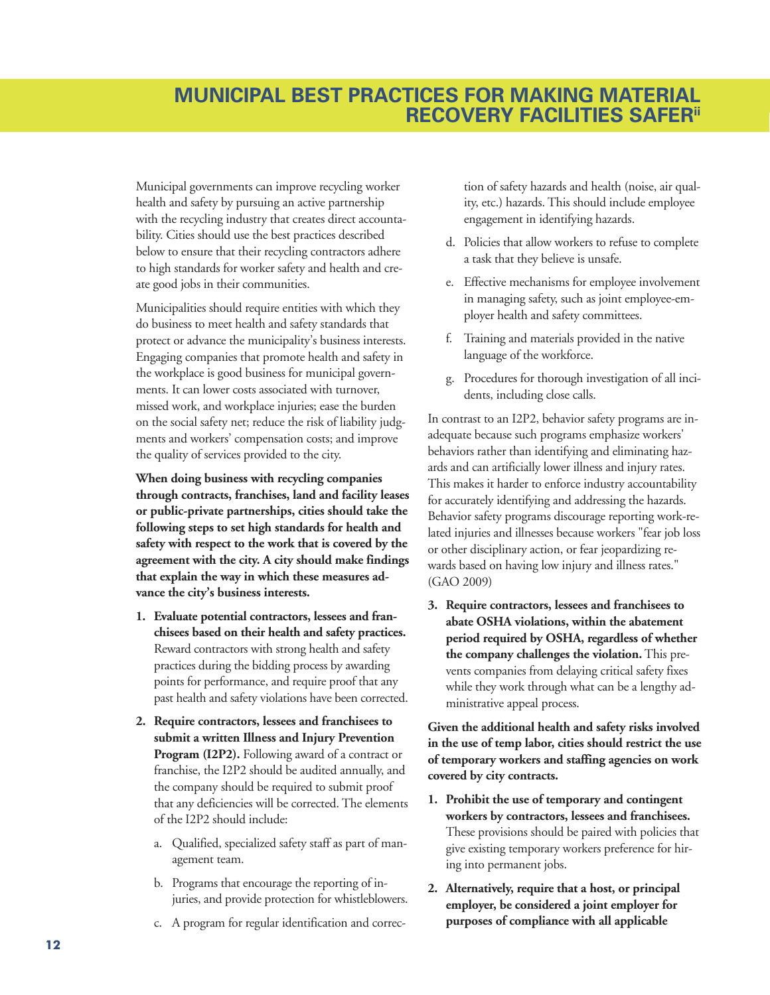Municipal governments can improve recycling worker health and safety by pursuing an active partnership with the recycling industry that creates direct accountability. Cities should use the best practices described below to ensure that their recycling contractors adhere to high standards for worker safety and health and create good jobs in their communities.

Municipalities should require entities with which they do business to meet health and safety standards that protect or advance the municipality's business interests. Engaging companies that promote health and safety in the workplace is good business for municipal governments. It can lower costs associated with turnover, missed work, and workplace injuries; ease the burden on the social safety net; reduce the risk of liability judgments and workers' compensation costs; and improve the quality of services provided to the city.

**When doing business with recycling companies through contracts, franchises, land and facility leases or public-private partnerships, cities should take the following steps to set high standards for health and safety with respect to the work that is covered by the agreement with the city. A city should make findings that explain the way in which these measures advance the city's business interests.**

- **1. Evaluate potential contractors, lessees and franchisees based on their health and safety practices.** Reward contractors with strong health and safety practices during the bidding process by awarding points for performance, and require proof that any past health and safety violations have been corrected.
- **2. Require contractors, lessees and franchisees to submit a written Illness and Injury Prevention Program (I2P2).** Following award of a contract or franchise, the I2P2 should be audited annually, and the company should be required to submit proof that any deficiencies will be corrected. The elements of the I2P2 should include:
	- a. Qualified, specialized safety staff as part of management team.
	- b. Programs that encourage the reporting of injuries, and provide protection for whistleblowers.
	- c. A program for regular identification and correc-

tion of safety hazards and health (noise, air quality, etc.) hazards. This should include employee engagement in identifying hazards.

- d. Policies that allow workers to refuse to complete a task that they believe is unsafe.
- e. Effective mechanisms for employee involvement in managing safety, such as joint employee-employer health and safety committees.
- f. Training and materials provided in the native language of the workforce.
- g. Procedures for thorough investigation of all incidents, including close calls.

In contrast to an I2P2, behavior safety programs are inadequate because such programs emphasize workers' behaviors rather than identifying and eliminating hazards and can artificially lower illness and injury rates. This makes it harder to enforce industry accountability for accurately identifying and addressing the hazards. Behavior safety programs discourage reporting work-related injuries and illnesses because workers "fear job loss or other disciplinary action, or fear jeopardizing rewards based on having low injury and illness rates." (GAO 2009)

**3. Require contractors, lessees and franchisees to abate OSHA violations, within the abatement period required by OSHA, regardless of whether the company challenges the violation.** This prevents companies from delaying critical safety fixes while they work through what can be a lengthy administrative appeal process.

**Given the additional health and safety risks involved in the use of temp labor, cities should restrict the use of temporary workers and staffing agencies on work covered by city contracts.**

- **1. Prohibit the use of temporary and contingent workers by contractors, lessees and franchisees.** These provisions should be paired with policies that give existing temporary workers preference for hiring into permanent jobs.
- **2. Alternatively, require that a host, or principal employer, be considered a joint employer for purposes of compliance with all applicable**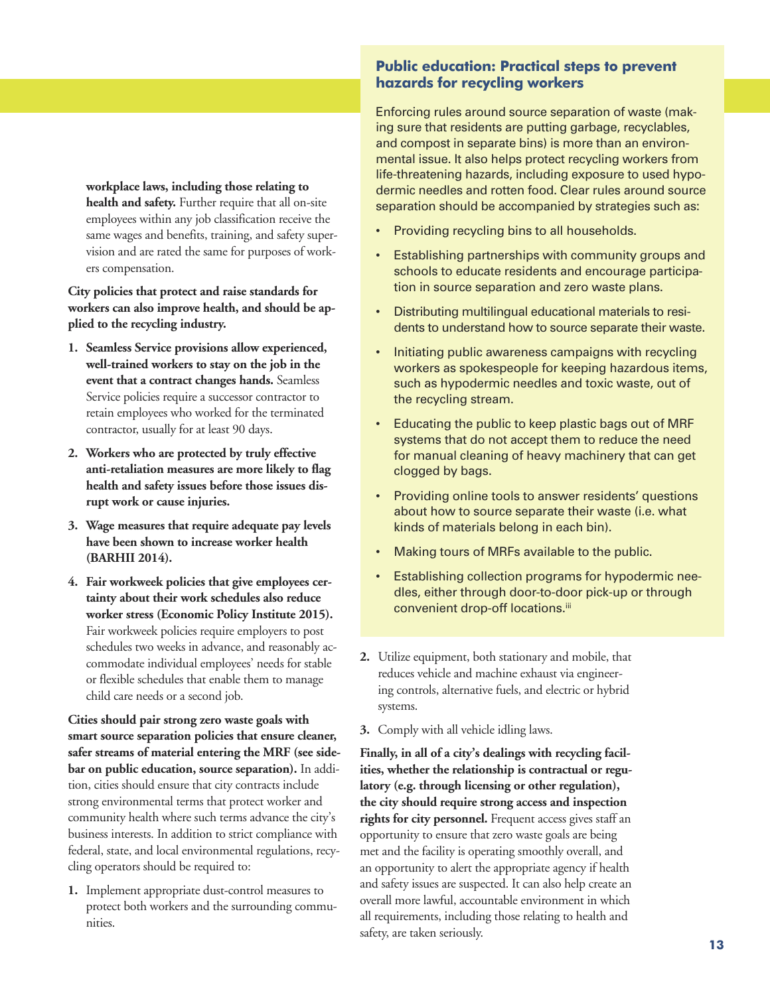**workplace laws, including those relating to health and safety.** Further require that all on-site employees within any job classification receive the same wages and benefits, training, and safety supervision and are rated the same for purposes of workers compensation.

**City policies that protect and raise standards for workers can also improve health, and should be applied to the recycling industry.**

- **1. Seamless Service provisions allow experienced, well-trained workers to stay on the job in the event that a contract changes hands.** Seamless Service policies require a successor contractor to retain employees who worked for the terminated contractor, usually for at least 90 days.
- **2. Workers who are protected by truly effective anti-retaliation measures are more likely to flag health and safety issues before those issues disrupt work or cause injuries.**
- **3. Wage measures that require adequate pay levels have been shown to increase worker health (BARHII 2014).**
- **4. Fair workweek policies that give employees certainty about their work schedules also reduce worker stress (Economic Policy Institute 2015).** Fair workweek policies require employers to post schedules two weeks in advance, and reasonably accommodate individual employees' needs for stable or flexible schedules that enable them to manage child care needs or a second job.

**Cities should pair strong zero waste goals with smart source separation policies that ensure cleaner, safer streams of material entering the MRF (see sidebar on public education, source separation).** In addition, cities should ensure that city contracts include strong environmental terms that protect worker and community health where such terms advance the city's business interests. In addition to strict compliance with federal, state, and local environmental regulations, recycling operators should be required to:

**1.** Implement appropriate dust-control measures to protect both workers and the surrounding communities.

# **Public education: Practical steps to prevent hazards for recycling workers**

Enforcing rules around source separation of waste (making sure that residents are putting garbage, recyclables, and compost in separate bins) is more than an environmental issue. It also helps protect recycling workers from life-threatening hazards, including exposure to used hypodermic needles and rotten food. Clear rules around source separation should be accompanied by strategies such as:

- Providing recycling bins to all households.
- Establishing partnerships with community groups and schools to educate residents and encourage participation in source separation and zero waste plans.
- Distributing multilingual educational materials to residents to understand how to source separate their waste.
- Initiating public awareness campaigns with recycling workers as spokespeople for keeping hazardous items, such as hypodermic needles and toxic waste, out of the recycling stream.
- Educating the public to keep plastic bags out of MRF systems that do not accept them to reduce the need for manual cleaning of heavy machinery that can get clogged by bags.
- Providing online tools to answer residents' questions about how to source separate their waste (i.e. what kinds of materials belong in each bin).
- Making tours of MRFs available to the public.
- Establishing collection programs for hypodermic needles, either through door-to-door pick-up or through convenient drop-off locations.<sup>iii</sup>
- **2.** Utilize equipment, both stationary and mobile, that reduces vehicle and machine exhaust via engineering controls, alternative fuels, and electric or hybrid systems.
- **3.** Comply with all vehicle idling laws.

**Finally, in all of a city's dealings with recycling facilities, whether the relationship is contractual or regulatory (e.g. through licensing or other regulation), the city should require strong access and inspection rights for city personnel.** Frequent access gives staff an opportunity to ensure that zero waste goals are being met and the facility is operating smoothly overall, and an opportunity to alert the appropriate agency if health and safety issues are suspected. It can also help create an overall more lawful, accountable environment in which all requirements, including those relating to health and safety, are taken seriously.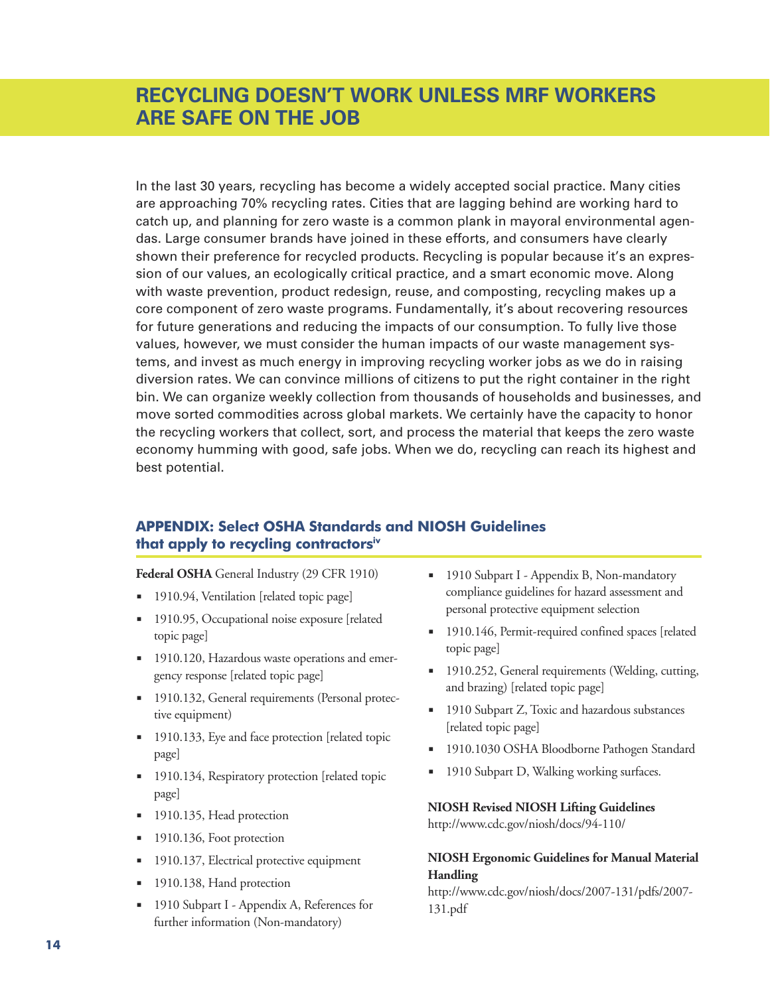In the last 30 years, recycling has become a widely accepted social practice. Many cities are approaching 70% recycling rates. Cities that are lagging behind are working hard to catch up, and planning for zero waste is a common plank in mayoral environmental agendas. Large consumer brands have joined in these efforts, and consumers have clearly shown their preference for recycled products. Recycling is popular because it's an expression of our values, an ecologically critical practice, and a smart economic move. Along with waste prevention, product redesign, reuse, and composting, recycling makes up a core component of zero waste programs. Fundamentally, it's about recovering resources for future generations and reducing the impacts of our consumption. To fully live those values, however, we must consider the human impacts of our waste management systems, and invest as much energy in improving recycling worker jobs as we do in raising diversion rates. We can convince millions of citizens to put the right container in the right bin. We can organize weekly collection from thousands of households and businesses, and move sorted commodities across global markets. We certainly have the capacity to honor the recycling workers that collect, sort, and process the material that keeps the zero waste economy humming with good, safe jobs. When we do, recycling can reach its highest and best potential.

# **APPENDIX: Select OSHA Standards and NIOSH Guidelines that apply to recycling contractorsiv**

**Federal OSHA** General Industry (29 CFR [1910\)](https://www.osha.gov/pls/oshaweb/owastand.display_standard_group?p_toc_level=1&p_part_number=1910)

- [1910.94,](https://www.osha.gov/pls/oshaweb/owadisp.show_document?p_table=STANDARDS&p_id=9734) Ventilation [\[related](https://www.osha.gov/SLTC/ventilation/index.html) topic page]
- [1910.95,](https://www.osha.gov/pls/oshaweb/owadisp.show_document?p_table=STANDARDS&p_id=9735) [Occupational](https://www.osha.gov/SLTC/noisehearingconservation/index.html) noise exposure [related] topic page]
- [1910.120,](https://www.osha.gov/pls/oshaweb/owadisp.show_document?p_table=STANDARDS&p_id=9765) Hazardous waste operations and emergency response [\[related](https://www.osha.gov/SLTC/hazardouswaste/index.html) topic page]
- **[1910.132,](https://www.osha.gov/pls/oshaweb/owadisp.show_document?p_table=STANDARDS&p_id=9777&p_text_version=FALSE) General requirements (Personal protec**tive equipment)
- [1910.133](https://www.osha.gov/pls/oshaweb/owadisp.show_document?p_table=STANDARDS&p_id=9778)[,](https://www.osha.gov/SLTC/eyefaceprotection/index.html) Eye and face protection [related topic page]
- [1910.134,](https://www.osha.gov/pls/oshaweb/owadisp.show_document?p_table=STANDARDS&p_id=12716) [Respiratory](https://www.osha.gov/SLTC/respiratoryprotection/index.html) protection [related topic page]
- [1910.135,](https://www.osha.gov/pls/oshaweb/owadisp.show_document?p_table=STANDARDS&p_id=9785) Head protection
- [1910.136,](https://www.osha.gov/pls/oshaweb/owadisp.show_document?p_table=STANDARDS&p_id=9786) Foot protection
- [1910.137,](https://www.osha.gov/pls/oshaweb/owadisp.show_document?p_table=STANDARDS&p_id=9787) Electrical protective equipment
- [1910.138,](https://www.osha.gov/pls/oshaweb/owadisp.show_document?p_table=STANDARDS&p_id=9788) Hand protection
- 1910 Subpart I [Appendix](https://www.osha.gov/pls/oshaweb/owadisp.show_document?p_table=STANDARDS&p_id=10119) A, References for further information (Non-mandatory)
- 1910 Subpart I [Appendix](https://www.osha.gov/pls/oshaweb/owadisp.show_document?p_table=STANDARDS&p_id=10120) B, Non-mandatory compliance guidelines for hazard assessment and personal protective equipment selection
- [1910.146,](https://www.osha.gov/pls/oshaweb/owadisp.show_document?p_table=STANDARDS&p_id=9797) [Permit-required](https://www.osha.gov/SLTC/confinedspaces/index.html) confined spaces [related] topic page]
- 1910.252, General [requirements](https://www.osha.gov/pls/oshaweb/owadisp.show_document?p_table=STANDARDS&p_id=9853) (Welding, cutting, and brazing) [\[related](https://www.osha.gov/SLTC/weldingcuttingbrazing/index.html) topic page]
- 1910 [Subpart](https://www.osha.gov/pls/oshaweb/owastand.display_standard_group?p_toc_level=1&p_part_number=1910#1910_Subpart_Z) Z, Toxic and hazardous substances [[related](https://www.osha.gov/SLTC/hazardoustoxicsubstances/index.html) topic page]
- [1910.1030](https://www.osha.gov/pls/oshaweb/owalink.query_links?src_doc_type=STANDARDS&src_unique_file=1910_1030&src_anchor_name=1910.1030) OSHA Bloodborne Pathogen Standard
- 1910 [Subpart](https://www.osha.gov/pls/oshaweb/owadisp.show_document?p_table=STANDARDS&p_id=10112) D, Walking working surfaces.

## **NIOSH Revised NIOSH Lifting Guidelines**

<http://www.cdc.gov/niosh/docs/94-110/>

# **NIOSH Ergonomic Guidelines for Manual Material Handling**

[http://www.cdc.gov/niosh/docs/2007-131/pdfs/2007-](http://www.cdc.gov/niosh/docs/2007-131/pdfs/2007-131.pdf) 131.pdf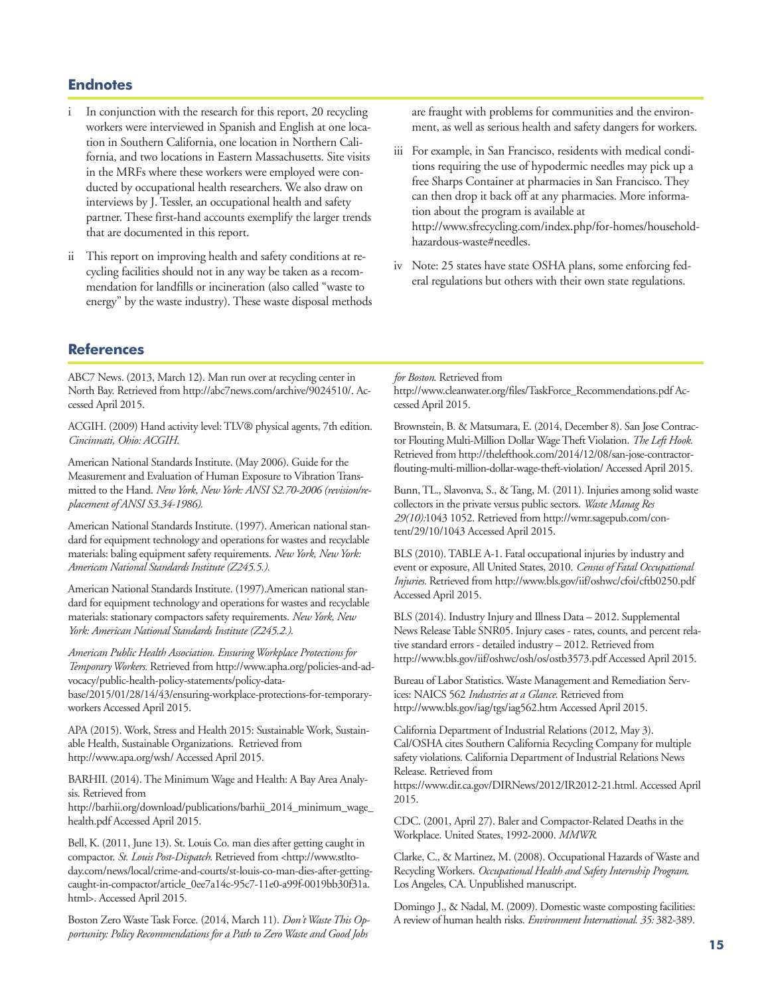# **Endnotes**

- In conjunction with the research for this report, 20 recycling workers were interviewed in Spanish and English at one location in Southern California, one location in Northern California, and two locations in Eastern Massachusetts. Site visits in the MRFs where these workers were employed were conducted by occupational health researchers. We also draw on interviews by J. Tessler, an occupational health and safety partner. These first-hand accounts exemplify the larger trends that are documented in this report.
- ii This report on improving health and safety conditions at recycling facilities should not in any way be taken as a recommendation for landfills or incineration (also called "waste to energy" by the waste industry). These waste disposal methods

are fraught with problems for communities and the environment, as well as serious health and safety dangers for workers.

- iii For example, in San Francisco, residents with medical conditions requiring the use of hypodermic needles may pick up a free Sharps Container at pharmacies in San Francisco. They can then drop it back off at any pharmacies. More information about the program is available at http://www.sfrecycling.com/index.php/for-homes/householdhazardous-waste#needles.
- iv Note: 25 states have state OSHA plans, some enforcing federal regulations but others with their own state regulations.

## **References**

ABC7 News. (2013, March 12). Man run over at recycling center in North Bay. Retrieved from http://abc7news.com/archive/9024510/. Accessed April 2015.

ACGIH. (2009) Hand activity level: TLV® physical agents, 7th edition. *Cincinnati, Ohio: ACGIH*.

American National Standards Institute. (May 2006). Guide for the Measurement and Evaluation of Human Exposure to VibrationTransmitted to the Hand. *NewYork, NewYork: ANSI S2.70-2006 (revision/replacement of ANSI S3.34-1986).*

American National Standards Institute. (1997). American national standard for equipment technology and operations for wastes and recyclable materials: baling equipment safety requirements. *NewYork, NewYork: American National Standards Institute (Z245.5.).*

American National Standards Institute. (1997).American national standard for equipment technology and operations for wastes and recyclable materials: stationary compactors safety requirements. *NewYork, New York: American National Standards Institute (Z245.2.).*

*American Public Health Association. EnsuringWorkplace Protections for TemporaryWorkers.* Retrieved from http://www.apha.org/policies-and-advocacy/public-health-policy-statements/policy-data-

base/2015/01/28/14/43/ensuring-workplace-protections-for-temporaryworkers Accessed April 2015.

APA (2015). Work, Stress and Health 2015: Sustainable Work, Sustainable Health, Sustainable Organizations. Retrieved from http://www.apa.org/wsh/ Accessed April 2015.

BARHII. (2014).The Minimum Wage and Health: A Bay Area Analysis. Retrieved from

http://barhii.org/download/publications/barhii\_2014\_minimum\_wage\_ health.pdf Accessed April 2015.

Bell, K. (2011, June 13). St. Louis Co. man dies after getting caught in compactor. *St. Louis Post-Dispatch*. Retrieved from <http://www.stltoday.com/news/local/crime-and-courts/st-louis-co-man-dies-after-gettingcaught-in-compactor/article\_0ee7a14c-95c7-11e0-a99f-0019bb30f31a. html>. Accessed April 2015.

Boston Zero Waste Task Force. (2014, March 11). *Don't Waste This Opportunity: Policy Recommendations for a Path to ZeroWaste and Good Jobs*

#### *for Boston*. Retrieved from

http://www.cleanwater.org/files/TaskForce\_Recommendations.pdf Accessed April 2015.

Brownstein, B. & Matsumara, E. (2014, December 8). San Jose Contractor Flouting Multi-Million Dollar WageTheft Violation. *The Left Hook.* Retrieved from http://thelefthook.com/2014/12/08/san-jose-contractorflouting-multi-million-dollar-wage-theft-violation/ Accessed April 2015.

Bunn,TL., Slavonva, S., & Tang, M. (2011). Injuries among solid waste collectors in the private versus public sectors. *Waste Manag Res 29(10):*1043 1052. Retrieved from http://wmr.sagepub.com/content/29/10/1043 Accessed April 2015.

BLS (2010).TABLE A-1. Fatal occupational injuries by industry and event or exposure, All United States, 2010. *Census of Fatal Occupational Injuries.* Retrieved from http://www.bls.gov/iif/oshwc/cfoi/cftb0250.pdf Accessed April 2015.

BLS (2014). Industry Injury and Illness Data – 2012. Supplemental News Release Table SNR05. Injury cases - rates, counts, and percent relative standard errors - detailed industry – 2012. Retrieved from http://www.bls.gov/iif/oshwc/osh/os/ostb3573.pdf Accessed April 2015.

Bureau of Labor Statistics. Waste Management and Remediation Services: NAICS 562 *Industries at a Glance*. Retrieved from http://www.bls.gov/iag/tgs/iag562.htm Accessed April 2015.

California Department of Industrial Relations (2012, May 3). Cal/OSHA cites Southern California Recycling Company for multiple safety violations. California Department of Industrial Relations News Release. Retrieved from

https://www.dir.ca.gov/DIRNews/2012/IR2012-21.html. Accessed April 2015.

CDC. (2001, April 27). Baler and Compactor-Related Deaths in the Workplace. United States, 1992-2000. *MMWR*.

Clarke, C., & Martinez, M. (2008). Occupational Hazards of Waste and Recycling Workers. *Occupational Health and Safety Internship Program*. Los Angeles, CA. Unpublished manuscript.

Domingo J., & Nadal, M. (2009). Domestic waste composting facilities: A review of human health risks. *Environment International. 35:* 382-389.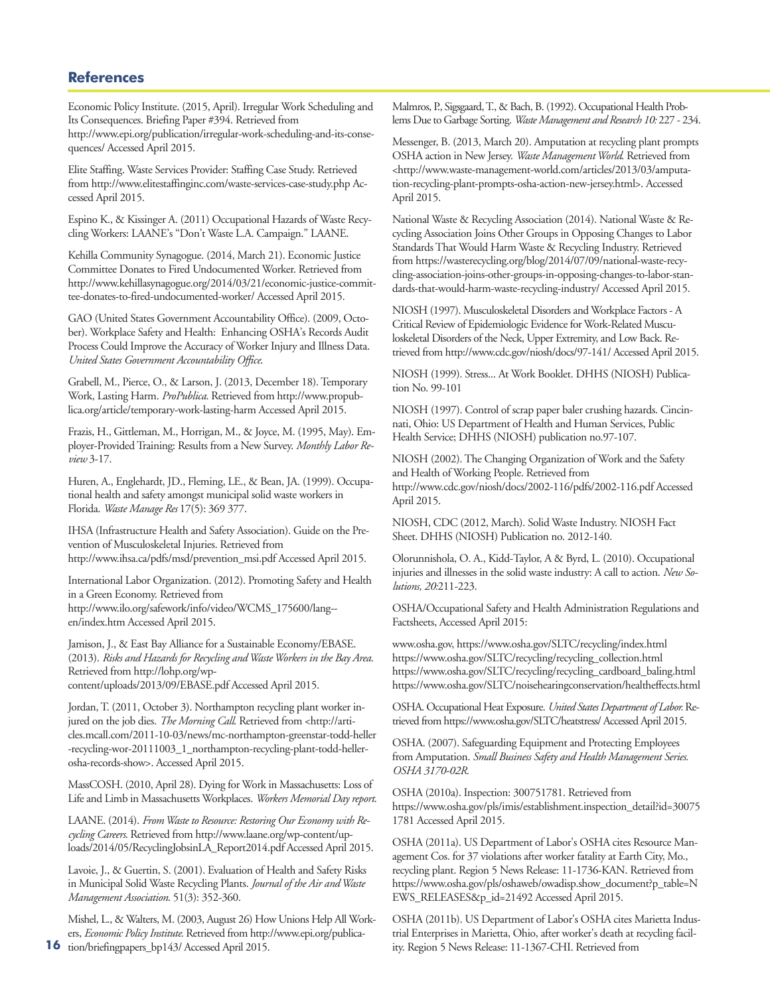## **References**

Economic Policy Institute. (2015, April). Irregular Work Scheduling and Its Consequences. Briefing Paper #394. Retrieved from http://www.epi.org/publication/irregular-work-scheduling-and-its-consequences/ Accessed April 2015.

Elite Staffing. Waste Services Provider: Staffing Case Study. Retrieved from http://www.elitestaffinginc.com/waste-services-case-study.php Accessed April 2015.

Espino K., & Kissinger A. (2011) Occupational Hazards of Waste Recycling Workers: LAANE's "Don't Waste L.A. Campaign." LAANE.

Kehilla Community Synagogue. (2014, March 21). Economic Justice Committee Donates to Fired Undocumented Worker. Retrieved from http://www.kehillasynagogue.org/2014/03/21/economic-justice-committee-donates-to-fired-undocumented-worker/ Accessed April 2015.

GAO (United States Government Accountability Office). (2009, October). Workplace Safety and Health: Enhancing OSHA's Records Audit Process Could Improve the Accuracy of Worker Injury and Illness Data. *United States Government Accountability Office*.

Grabell, M., Pierce, O., & Larson, J. (2013, December 18).Temporary Work, Lasting Harm. *ProPublica*. Retrieved from http://www.propublica.org/article/temporary-work-lasting-harm Accessed April 2015.

Frazis, H., Gittleman, M., Horrigan, M., & Joyce, M. (1995, May). Employer-ProvidedTraining: Results from a New Survey. *Monthly Labor Review* 3-17.

Huren, A., Englehardt, JD., Fleming, LE., & Bean, JA. (1999). Occupational health and safety amongst municipal solid waste workers in Florida. *Waste Manage Res* 17(5): 369 377.

IHSA (Infrastructure Health and Safety Association). Guide on the Prevention of Musculoskeletal Injuries. Retrieved from http://www.ihsa.ca/pdfs/msd/prevention\_msi.pdf Accessed April 2015.

International Labor Organization. (2012). Promoting Safety and Health in a Green Economy. Retrieved from http://www.ilo.org/safework/info/video/WCMS\_175600/lang- en/index.htm Accessed April 2015.

Jamison, J., & East Bay Alliance for a Sustainable Economy/EBASE. (2013). *Risks and Hazards for Recycling andWasteWorkers in the Bay Area*. Retrieved from http://lohp.org/wpcontent/uploads/2013/09/EBASE.pdf Accessed April 2015.

Jordan,T. (2011, October 3). Northampton recycling plant worker injured on the job dies. *The Morning Call*. Retrieved from <http://articles.mcall.com/2011-10-03/news/mc-northampton-greenstar-todd-heller -recycling-wor-20111003\_1\_northampton-recycling-plant-todd-hellerosha-records-show>. Accessed April 2015.

MassCOSH. (2010, April 28). Dying for Work in Massachusetts: Loss of Life and Limb in Massachusetts Workplaces. *Workers Memorial Day report*.

LAANE. (2014). *FromWaste to Resource: Restoring Our Economy with Recycling Careers*. Retrieved from http://www.laane.org/wp-content/uploads/2014/05/RecyclingJobsinLA\_Report2014.pdf Accessed April 2015.

Lavoie, J., & Guertin, S. (2001). Evaluation of Health and Safety Risks in Municipal Solid Waste Recycling Plants. *Journal of the Air andWaste Management Association*. 51(3): 352-360.

**16** tion/briefingpapers\_bp143/ Accessed April 2015. Mishel, L., & Walters, M. (2003, August 26) How Unions Help All Workers, *Economic PolicyInstitute*. Retrieved from http://www.epi.org/publica-

Malmros, P., Sigsgaard,T., & Bach, B. (1992). Occupational Health Problems Due to Garbage Sorting. Waste Management and Research 10: 227 - 234.

Messenger, B. (2013, March 20). Amputation at recycling plant prompts OSHA action in New Jersey. *Waste ManagementWorld*. Retrieved from <http://www.waste-management-world.com/articles/2013/03/amputation-recycling-plant-prompts-osha-action-new-jersey.html>. Accessed April 2015.

National Waste & Recycling Association (2014). National Waste & Recycling Association Joins Other Groups in Opposing Changes to Labor StandardsThat Would Harm Waste & Recycling Industry. Retrieved from https://wasterecycling.org/blog/2014/07/09/national-waste-recycling-association-joins-other-groups-in-opposing-changes-to-labor-standards-that-would-harm-waste-recycling-industry/ Accessed April 2015.

NIOSH (1997). Musculoskeletal Disorders and Workplace Factors - A Critical Review of Epidemiologic Evidence for Work-Related Musculoskeletal Disorders of the Neck, Upper Extremity, and Low Back. Retrieved from http://www.cdc.gov/niosh/docs/97-141/ Accessed April 2015.

NIOSH (1999). Stress... At Work Booklet. DHHS (NIOSH) Publication No. 99-101

NIOSH (1997). Control of scrap paper baler crushing hazards. Cincinnati, Ohio: US Department of Health and Human Services, Public Health Service; DHHS (NIOSH) publication no.97-107.

NIOSH (2002).The Changing Organization of Work and the Safety and Health of Working People. Retrieved from http://www.cdc.gov/niosh/docs/2002-116/pdfs/2002-116.pdf Accessed April 2015.

NIOSH, CDC (2012, March). Solid Waste Industry. NIOSH Fact Sheet. DHHS (NIOSH) Publication no. 2012-140.

Olorunnishola, O. A., Kidd-Taylor, A & Byrd, L. (2010). Occupational injuries and illnesses in the solid waste industry: A call to action. *New Solutions, 20:*211-223.

OSHA/Occupational Safety and Health Administration Regulations and Factsheets, Accessed April 2015:

www.osha.gov, https://www.osha.gov/SLTC/recycling/index.html https://www.osha.gov/SLTC/recycling/recycling\_collection.html https://www.osha.gov/SLTC/recycling/recycling\_cardboard\_baling.html https://www.osha.gov/SLTC/noisehearingconservation/healtheffects.html

OSHA. Occupational Heat Exposure. *United States Department of Labor.*Retrieved from https://www.osha.gov/SLTC/heatstress/ Accessed April 2015.

OSHA. (2007). Safeguarding Equipment and Protecting Employees from Amputation. *Small Business Safety and Health Management Series. OSHA 3170-02R.*

OSHA (2010a). Inspection: 300751781. Retrieved from https://www.osha.gov/pls/imis/establishment.inspection\_detail?id=30075 1781 Accessed April 2015.

OSHA (2011a). US Department of Labor's OSHA cites Resource Management Cos. for 37 violations after worker fatality at Earth City, Mo., recycling plant. Region 5 News Release: 11-1736-KAN. Retrieved from https://www.osha.gov/pls/oshaweb/owadisp.show\_document?p\_table=N EWS\_RELEASES&p\_id=21492 Accessed April 2015.

OSHA (2011b). US Department of Labor's OSHA cites Marietta Industrial Enterprises in Marietta, Ohio, after worker's death at recycling facility. Region 5 News Release: 11-1367-CHI. Retrieved from